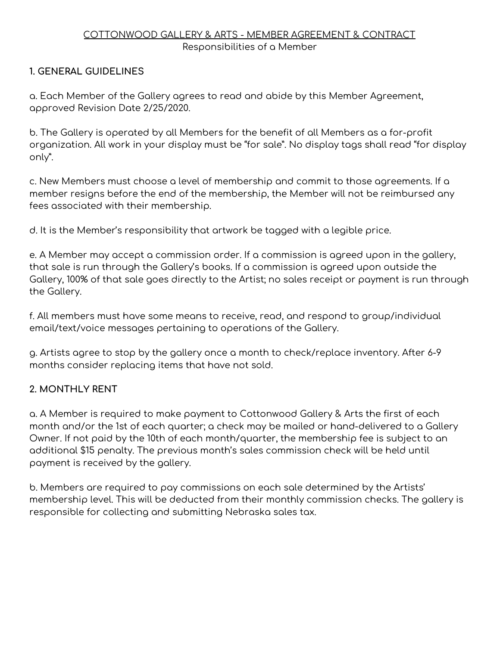### COTTONWOOD GALLERY & ARTS - MEMBER AGREEMENT & CONTRACT Responsibilities of a Member

## **1. GENERAL GUIDELINES**

a. Each Member of the Gallery agrees to read and abide by this Member Agreement, approved Revision Date 2/25/2020.

b. The Gallery is operated by all Members for the benefit of all Members as a for-profit organization. All work in your display must be "for sale". No display tags shall read "for display only".

c. New Members must choose a level of membership and commit to those agreements. If a member resigns before the end of the membership, the Member will not be reimbursed any fees associated with their membership.

d. It is the Member's responsibility that artwork be tagged with a legible price.

e. A Member may accept a commission order. If a commission is agreed upon in the gallery, that sale is run through the Gallery's books. If a commission is agreed upon outside the Gallery, 100% of that sale goes directly to the Artist; no sales receipt or payment is run through the Gallery.

f. All members must have some means to receive, read, and respond to group/individual email/text/voice messages pertaining to operations of the Gallery.

g. Artists agree to stop by the gallery once a month to check/replace inventory. After 6-9 months consider replacing items that have not sold.

## **2. MONTHLY RENT**

a. A Member is required to make payment to Cottonwood Gallery & Arts the first of each month and/or the 1st of each quarter; a check may be mailed or hand-delivered to a Gallery Owner. If not paid by the 10th of each month/quarter, the membership fee is subject to an additional \$15 penalty. The previous month's sales commission check will be held until payment is received by the gallery.

b. Members are required to pay commissions on each sale determined by the Artists' membership level. This will be deducted from their monthly commission checks. The gallery is responsible for collecting and submitting Nebraska sales tax.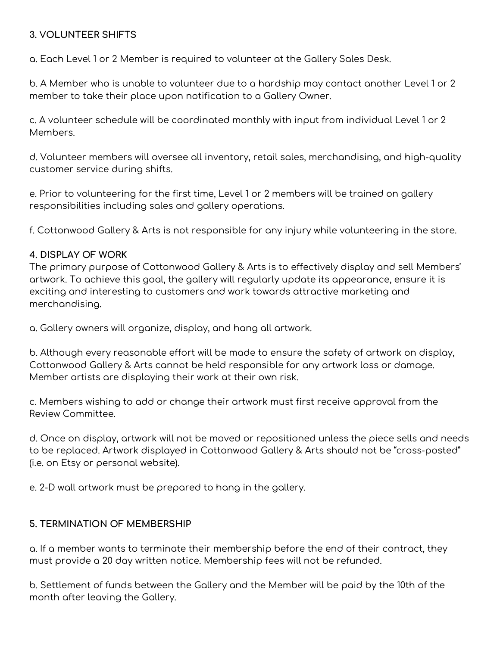## **3. VOLUNTEER SHIFTS**

a. Each Level 1 or 2 Member is required to volunteer at the Gallery Sales Desk.

b. A Member who is unable to volunteer due to a hardship may contact another Level 1 or 2 member to take their place upon notification to a Gallery Owner.

c. A volunteer schedule will be coordinated monthly with input from individual Level 1 or 2 Members.

d. Volunteer members will oversee all inventory, retail sales, merchandising, and high-quality customer service during shifts.

e. Prior to volunteering for the first time, Level 1 or 2 members will be trained on gallery responsibilities including sales and gallery operations.

f. Cottonwood Gallery & Arts is not responsible for any injury while volunteering in the store.

#### **4. DISPLAY OF WORK**

The primary purpose of Cottonwood Gallery & Arts is to effectively display and sell Members' artwork. To achieve this goal, the gallery will regularly update its appearance, ensure it is exciting and interesting to customers and work towards attractive marketing and merchandising.

a. Gallery owners will organize, display, and hang all artwork.

b. Although every reasonable effort will be made to ensure the safety of artwork on display, Cottonwood Gallery & Arts cannot be held responsible for any artwork loss or damage. Member artists are displaying their work at their own risk.

c. Members wishing to add or change their artwork must first receive approval from the Review Committee.

d. Once on display, artwork will not be moved or repositioned unless the piece sells and needs to be replaced. Artwork displayed in Cottonwood Gallery & Arts should not be "cross-posted" (i.e. on Etsy or personal website).

e. 2-D wall artwork must be prepared to hang in the gallery.

## **5. TERMINATION OF MEMBERSHIP**

a. If a member wants to terminate their membership before the end of their contract, they must provide a 20 day written notice. Membership fees will not be refunded.

b. Settlement of funds between the Gallery and the Member will be paid by the 10th of the month after leaving the Gallery.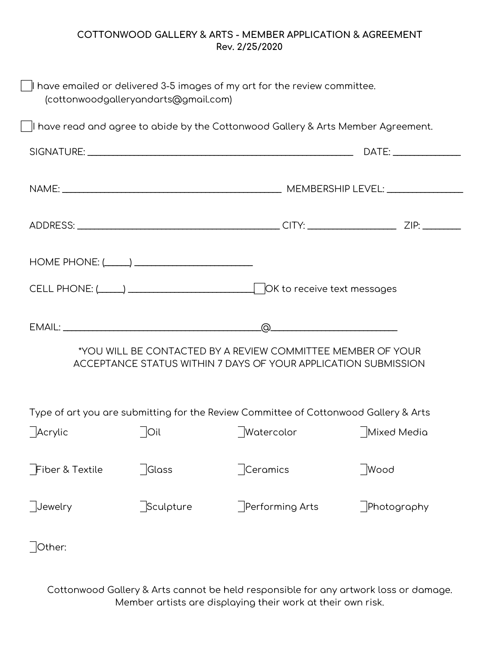# **COTTONWOOD GALLERY & ARTS - MEMBER APPLICATION & AGREEMENT Rev. 2/25/2020**

|                                                                                                                                           | (cottonwoodgalleryandarts@gmail.com) | $\parallel$ have emailed or delivered 3-5 images of my art for the review committee.             |                        |  |  |  |
|-------------------------------------------------------------------------------------------------------------------------------------------|--------------------------------------|--------------------------------------------------------------------------------------------------|------------------------|--|--|--|
|                                                                                                                                           |                                      | $\vert\;\;\vert$ have read and agree to abide by the Cottonwood Gallery & Arts Member Agreement. |                        |  |  |  |
|                                                                                                                                           |                                      |                                                                                                  |                        |  |  |  |
|                                                                                                                                           |                                      |                                                                                                  |                        |  |  |  |
|                                                                                                                                           |                                      |                                                                                                  |                        |  |  |  |
| HOME PHONE: (_____) ____________________________                                                                                          |                                      |                                                                                                  |                        |  |  |  |
|                                                                                                                                           |                                      |                                                                                                  |                        |  |  |  |
| $\Omega$<br>*YOU WILL BE CONTACTED BY A REVIEW COMMITTEE MEMBER OF YOUR<br>ACCEPTANCE STATUS WITHIN 7 DAYS OF YOUR APPLICATION SUBMISSION |                                      |                                                                                                  |                        |  |  |  |
| Type of art you are submitting for the Review Committee of Cottonwood Gallery & Arts                                                      |                                      |                                                                                                  |                        |  |  |  |
| Acrylic                                                                                                                                   | $ O$ il                              | Watercolor                                                                                       | Mixed Media            |  |  |  |
| Fiber & Textile                                                                                                                           | $\sqrt{\frac{1}{10}}$ Glass          | <i><b>Ceramics</b></i>                                                                           | $\sqrt{\frac{1}{100}}$ |  |  |  |
| Jewelry                                                                                                                                   | Sculpture                            | Performing Arts                                                                                  | Photography            |  |  |  |
| Other:                                                                                                                                    |                                      |                                                                                                  |                        |  |  |  |

Cottonwood Gallery & Arts cannot be held responsible for any artwork loss or damage. Member artists are displaying their work at their own risk.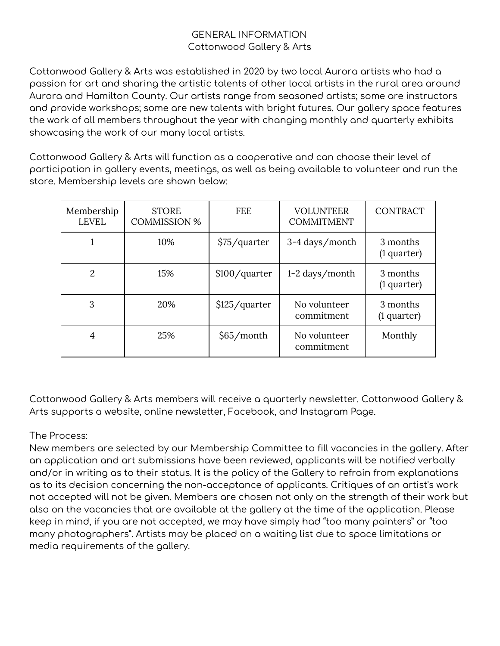# GENERAL INFORMATION Cottonwood Gallery & Arts

Cottonwood Gallery & Arts was established in 2020 by two local Aurora artists who had a passion for art and sharing the artistic talents of other local artists in the rural area around Aurora and Hamilton County. Our artists range from seasoned artists; some are instructors and provide workshops; some are new talents with bright futures. Our gallery space features the work of all members throughout the year with changing monthly and quarterly exhibits showcasing the work of our many local artists.

Cottonwood Gallery & Arts will function as a cooperative and can choose their level of participation in gallery events, meetings, as well as being available to volunteer and run the store. Membership levels are shown below:

| Membership<br><b>LEVEL</b> | <b>STORE</b><br><b>COMMISSION %</b> | <b>FEE</b>    | <b>VOLUNTEER</b><br><b>COMMITMENT</b> | <b>CONTRACT</b>           |
|----------------------------|-------------------------------------|---------------|---------------------------------------|---------------------------|
|                            | 10%                                 | \$75/quarter  | 3-4 days/month                        | 3 months<br>$(1$ quarter) |
| $\overline{2}$             | 15%                                 | \$100/quarter | 1-2 days/month                        | 3 months<br>$(1$ quarter) |
| 3                          | 20%                                 | \$125/quarter | No volunteer<br>commitment            | 3 months<br>(1 quarter)   |
| 4                          | 25%                                 | \$65/month    | No volunteer<br>commitment            | Monthly                   |

Cottonwood Gallery & Arts members will receive a quarterly newsletter. Cottonwood Gallery & Arts supports a website, online newsletter, Facebook, and Instagram Page.

## The Process:

New members are selected by our Membership Committee to fill vacancies in the gallery. After an application and art submissions have been reviewed, applicants will be notified verbally and/or in writing as to their status. It is the policy of the Gallery to refrain from explanations as to its decision concerning the non-acceptance of applicants. Critiques of an artist's work not accepted will not be given. Members are chosen not only on the strength of their work but also on the vacancies that are available at the gallery at the time of the application. Please keep in mind, if you are not accepted, we may have simply had "too many painters" or "too many photographers". Artists may be placed on a waiting list due to space limitations or media requirements of the gallery.